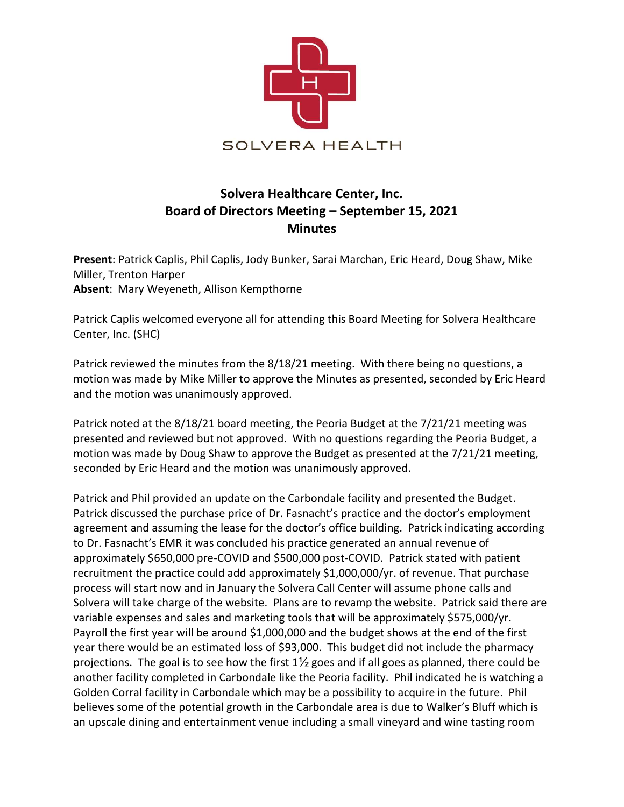

## Solvera Healthcare Center, Inc. Board of Directors Meeting – September 15, 2021 Minutes

Present: Patrick Caplis, Phil Caplis, Jody Bunker, Sarai Marchan, Eric Heard, Doug Shaw, Mike Miller, Trenton Harper Absent: Mary Weyeneth, Allison Kempthorne

Patrick Caplis welcomed everyone all for attending this Board Meeting for Solvera Healthcare Center, Inc. (SHC)

Patrick reviewed the minutes from the 8/18/21 meeting. With there being no questions, a motion was made by Mike Miller to approve the Minutes as presented, seconded by Eric Heard and the motion was unanimously approved.

Patrick noted at the 8/18/21 board meeting, the Peoria Budget at the 7/21/21 meeting was presented and reviewed but not approved. With no questions regarding the Peoria Budget, a motion was made by Doug Shaw to approve the Budget as presented at the 7/21/21 meeting, seconded by Eric Heard and the motion was unanimously approved.

Patrick and Phil provided an update on the Carbondale facility and presented the Budget. Patrick discussed the purchase price of Dr. Fasnacht's practice and the doctor's employment agreement and assuming the lease for the doctor's office building. Patrick indicating according to Dr. Fasnacht's EMR it was concluded his practice generated an annual revenue of approximately \$650,000 pre-COVID and \$500,000 post-COVID. Patrick stated with patient recruitment the practice could add approximately \$1,000,000/yr. of revenue. That purchase process will start now and in January the Solvera Call Center will assume phone calls and Solvera will take charge of the website. Plans are to revamp the website. Patrick said there are variable expenses and sales and marketing tools that will be approximately \$575,000/yr. Payroll the first year will be around \$1,000,000 and the budget shows at the end of the first year there would be an estimated loss of \$93,000. This budget did not include the pharmacy projections. The goal is to see how the first  $1\frac{1}{2}$  goes and if all goes as planned, there could be another facility completed in Carbondale like the Peoria facility. Phil indicated he is watching a Golden Corral facility in Carbondale which may be a possibility to acquire in the future. Phil believes some of the potential growth in the Carbondale area is due to Walker's Bluff which is an upscale dining and entertainment venue including a small vineyard and wine tasting room